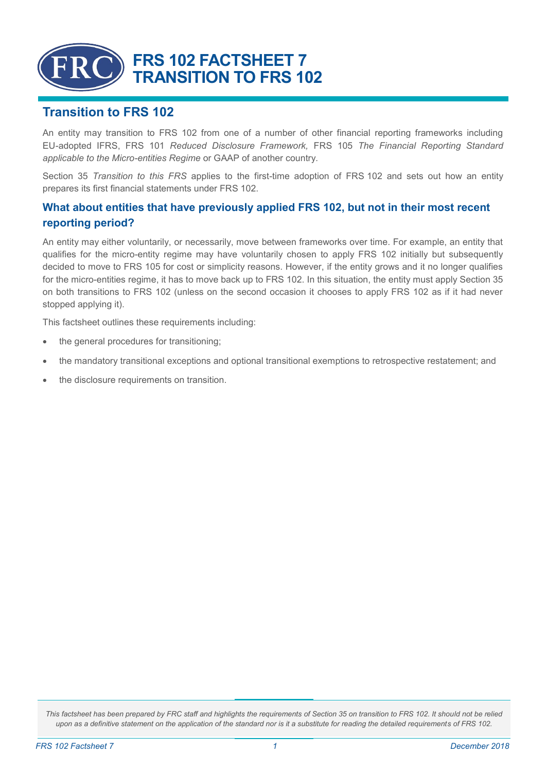

# **Transition to FRS 102**

An entity may transition to FRS 102 from one of a number of other financial reporting frameworks including EU-adopted IFRS, FRS 101 *Reduced Disclosure Framework,* FRS 105 *The Financial Reporting Standard applicable to the Micro-entities Regime* or GAAP of another country*.*

Section 35 *Transition to this FRS* applies to the first-time adoption of FRS 102 and sets out how an entity prepares its first financial statements under FRS 102.

## **What about entities that have previously applied FRS 102, but not in their most recent reporting period?**

An entity may either voluntarily, or necessarily, move between frameworks over time. For example, an entity that qualifies for the micro-entity regime may have voluntarily chosen to apply FRS 102 initially but subsequently decided to move to FRS 105 for cost or simplicity reasons. However, if the entity grows and it no longer qualifies for the micro-entities regime, it has to move back up to FRS 102. In this situation, the entity must apply Section 35 on both transitions to FRS 102 (unless on the second occasion it chooses to apply FRS 102 as if it had never stopped applying it).

This factsheet outlines these requirements including:

- the general procedures for transitioning;
- the mandatory transitional exceptions and optional transitional exemptions to retrospective restatement; and
- the disclosure requirements on transition.

*This factsheet has been prepared by FRC staff and highlights the requirements of Section 35 on transition to FRS 102. It should not be relied upon as a definitive statement on the application of the standard nor is it a substitute for reading the detailed requirements of FRS 102.*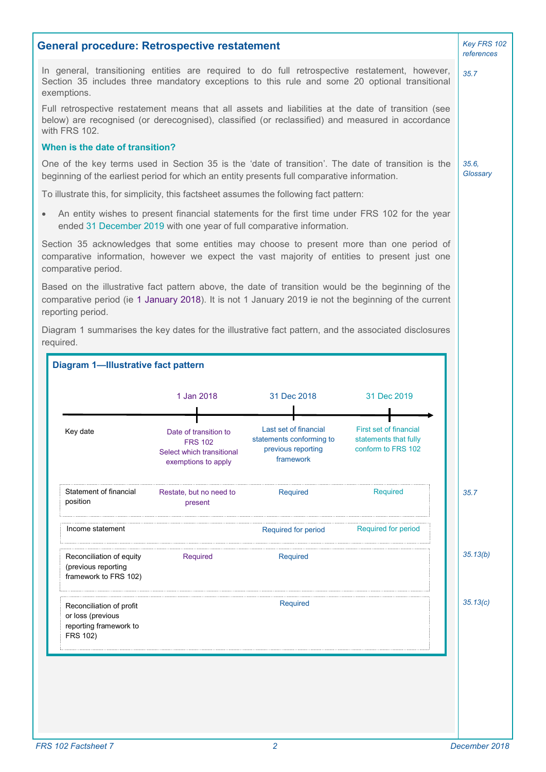|                                                                                                                                                                                                                                 | <b>General procedure: Retrospective restatement</b>                                         |                                                                                      |                                                                                                | Key FRS 102<br>references |
|---------------------------------------------------------------------------------------------------------------------------------------------------------------------------------------------------------------------------------|---------------------------------------------------------------------------------------------|--------------------------------------------------------------------------------------|------------------------------------------------------------------------------------------------|---------------------------|
| In general, transitioning entities are required to do full retrospective restatement, however,<br>Section 35 includes three mandatory exceptions to this rule and some 20 optional transitional<br>exemptions.                  |                                                                                             |                                                                                      |                                                                                                | 35.7                      |
| Full retrospective restatement means that all assets and liabilities at the date of transition (see<br>below) are recognised (or derecognised), classified (or reclassified) and measured in accordance<br>with FRS 102.        |                                                                                             |                                                                                      |                                                                                                |                           |
| When is the date of transition?                                                                                                                                                                                                 |                                                                                             |                                                                                      |                                                                                                |                           |
| One of the key terms used in Section 35 is the 'date of transition'. The date of transition is the<br>beginning of the earliest period for which an entity presents full comparative information.                               |                                                                                             |                                                                                      |                                                                                                | 35.6.<br>Glossary         |
| To illustrate this, for simplicity, this factsheet assumes the following fact pattern:                                                                                                                                          |                                                                                             |                                                                                      |                                                                                                |                           |
|                                                                                                                                                                                                                                 | ended 31 December 2019 with one year of full comparative information.                       |                                                                                      | An entity wishes to present financial statements for the first time under FRS 102 for the year |                           |
| Section 35 acknowledges that some entities may choose to present more than one period of<br>comparative information, however we expect the vast majority of entities to present just one<br>comparative period.                 |                                                                                             |                                                                                      |                                                                                                |                           |
| Based on the illustrative fact pattern above, the date of transition would be the beginning of the<br>comparative period (ie 1 January 2018). It is not 1 January 2019 ie not the beginning of the current<br>reporting period. |                                                                                             |                                                                                      |                                                                                                |                           |
| Diagram 1 summarises the key dates for the illustrative fact pattern, and the associated disclosures<br>required.                                                                                                               |                                                                                             |                                                                                      |                                                                                                |                           |
|                                                                                                                                                                                                                                 |                                                                                             |                                                                                      |                                                                                                |                           |
|                                                                                                                                                                                                                                 |                                                                                             |                                                                                      |                                                                                                |                           |
| <b>Diagram 1-Illustrative fact pattern</b>                                                                                                                                                                                      |                                                                                             |                                                                                      |                                                                                                |                           |
|                                                                                                                                                                                                                                 | 1 Jan 2018                                                                                  | 31 Dec 2018                                                                          | 31 Dec 2019                                                                                    |                           |
|                                                                                                                                                                                                                                 |                                                                                             |                                                                                      |                                                                                                |                           |
| Key date                                                                                                                                                                                                                        | Date of transition to<br><b>FRS 102</b><br>Select which transitional<br>exemptions to apply | Last set of financial<br>statements conforming to<br>previous reporting<br>framework | <b>First set of financial</b><br>statements that fully<br>conform to FRS 102                   |                           |
| Statement of financial<br>position                                                                                                                                                                                              | Restate, but no need to<br>present                                                          | Required                                                                             | Required                                                                                       | 35.7                      |
| Income statement                                                                                                                                                                                                                |                                                                                             | Required for period                                                                  | <b>Required for period</b>                                                                     |                           |
| Reconciliation of equity<br>(previous reporting<br>framework to FRS 102)                                                                                                                                                        | Required                                                                                    | Required                                                                             |                                                                                                | 35.13(b)                  |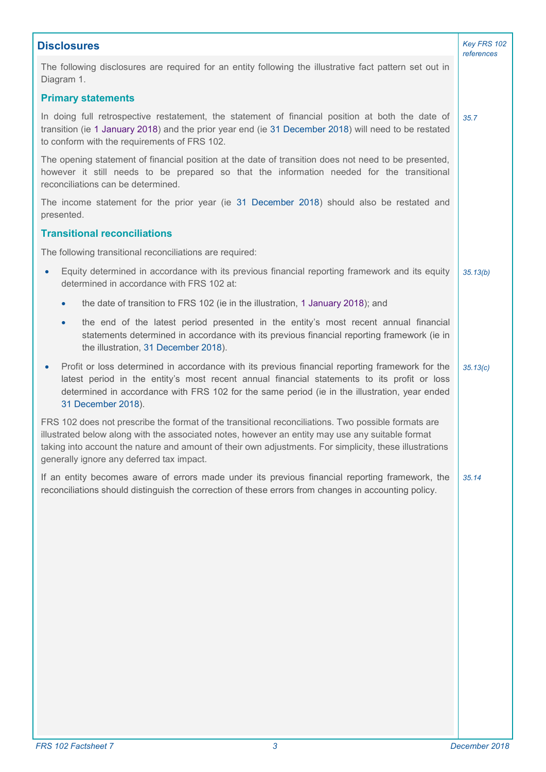| <b>Disclosures</b>                                                                                                                                                                                                                                                                                                                                              |          |  |
|-----------------------------------------------------------------------------------------------------------------------------------------------------------------------------------------------------------------------------------------------------------------------------------------------------------------------------------------------------------------|----------|--|
| The following disclosures are required for an entity following the illustrative fact pattern set out in<br>Diagram 1.                                                                                                                                                                                                                                           |          |  |
| <b>Primary statements</b>                                                                                                                                                                                                                                                                                                                                       |          |  |
| In doing full retrospective restatement, the statement of financial position at both the date of<br>transition (ie 1 January 2018) and the prior year end (ie 31 December 2018) will need to be restated<br>to conform with the requirements of FRS 102.                                                                                                        | 35.7     |  |
| The opening statement of financial position at the date of transition does not need to be presented,<br>however it still needs to be prepared so that the information needed for the transitional<br>reconciliations can be determined.                                                                                                                         |          |  |
| The income statement for the prior year (ie 31 December 2018) should also be restated and<br>presented.                                                                                                                                                                                                                                                         |          |  |
| <b>Transitional reconciliations</b>                                                                                                                                                                                                                                                                                                                             |          |  |
| The following transitional reconciliations are required:                                                                                                                                                                                                                                                                                                        |          |  |
| Equity determined in accordance with its previous financial reporting framework and its equity<br>$\bullet$<br>determined in accordance with FRS 102 at:                                                                                                                                                                                                        | 35.13(b) |  |
| the date of transition to FRS 102 (ie in the illustration, 1 January 2018); and<br>$\bullet$                                                                                                                                                                                                                                                                    |          |  |
| the end of the latest period presented in the entity's most recent annual financial<br>$\bullet$<br>statements determined in accordance with its previous financial reporting framework (ie in<br>the illustration, 31 December 2018).                                                                                                                          |          |  |
| Profit or loss determined in accordance with its previous financial reporting framework for the<br>$\bullet$<br>latest period in the entity's most recent annual financial statements to its profit or loss<br>determined in accordance with FRS 102 for the same period (ie in the illustration, year ended<br>31 December 2018).                              | 35.13(c) |  |
| FRS 102 does not prescribe the format of the transitional reconciliations. Two possible formats are<br>illustrated below along with the associated notes, however an entity may use any suitable format<br>taking into account the nature and amount of their own adjustments. For simplicity, these illustrations<br>generally ignore any deferred tax impact. |          |  |
| If an entity becomes aware of errors made under its previous financial reporting framework, the<br>reconciliations should distinguish the correction of these errors from changes in accounting policy.                                                                                                                                                         | 35.14    |  |
|                                                                                                                                                                                                                                                                                                                                                                 |          |  |
|                                                                                                                                                                                                                                                                                                                                                                 |          |  |
|                                                                                                                                                                                                                                                                                                                                                                 |          |  |
|                                                                                                                                                                                                                                                                                                                                                                 |          |  |
|                                                                                                                                                                                                                                                                                                                                                                 |          |  |
|                                                                                                                                                                                                                                                                                                                                                                 |          |  |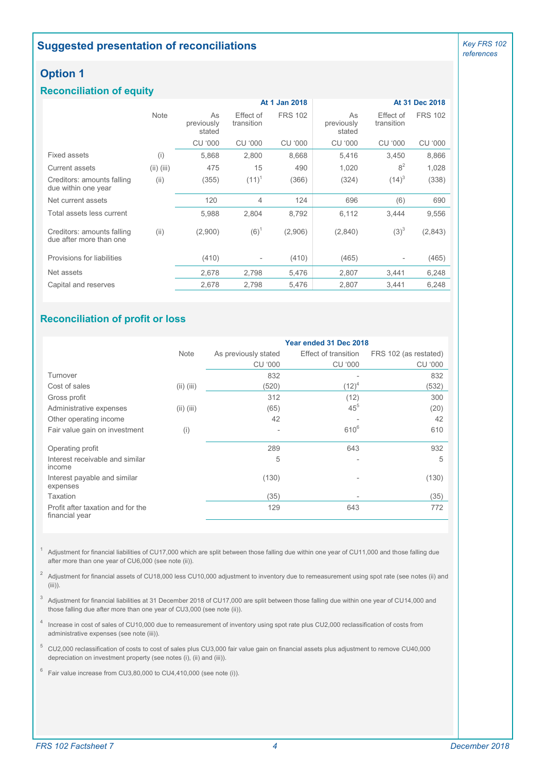## **Suggested presentation of reconciliations**

*Key FRS 102 references*

## **Option 1**

### **Reconciliation of equity**

|                                                       |              | At 1 Jan 2018              |                         |                |                            | At 31 Dec 2018          |                |
|-------------------------------------------------------|--------------|----------------------------|-------------------------|----------------|----------------------------|-------------------------|----------------|
|                                                       | <b>Note</b>  | As<br>previously<br>stated | Effect of<br>transition | <b>FRS 102</b> | As<br>previously<br>stated | Effect of<br>transition | <b>FRS 102</b> |
|                                                       |              | <b>CU '000</b>             | <b>CU '000</b>          | CU '000        | <b>CU '000</b>             | CU '000                 | <b>CU '000</b> |
| Fixed assets                                          | (i)          | 5,868                      | 2,800                   | 8,668          | 5,416                      | 3,450                   | 8,866          |
| Current assets                                        | $(ii)$ (iii) | 475                        | 15                      | 490            | 1,020                      | 8 <sup>2</sup>          | 1,028          |
| Creditors: amounts falling<br>due within one year     | (ii)         | (355)                      | $(11)^{1}$              | (366)          | (324)                      | $(14)^3$                | (338)          |
| Net current assets                                    |              | 120                        | 4                       | 124            | 696                        | (6)                     | 690            |
| Total assets less current                             |              | 5,988                      | 2,804                   | 8,792          | 6,112                      | 3,444                   | 9,556          |
| Creditors: amounts falling<br>due after more than one | (ii)         | (2,900)                    | $(6)^1$                 | (2,906)        | (2,840)                    | $(3)^3$                 | (2,843)        |
| Provisions for liabilities                            |              | (410)                      |                         | (410)          | (465)                      |                         | (465)          |
| Net assets                                            |              | 2,678                      | 2,798                   | 5,476          | 2,807                      | 3,441                   | 6,248          |
| Capital and reserves                                  |              | 2,678                      | 2,798                   | 5,476          | 2,807                      | 3.441                   | 6,248          |

## **Reconciliation of profit or loss**

|                                                     |              | Year ended 31 Dec 2018 |                             |                       |  |
|-----------------------------------------------------|--------------|------------------------|-----------------------------|-----------------------|--|
|                                                     | <b>Note</b>  | As previously stated   | <b>Effect of transition</b> | FRS 102 (as restated) |  |
|                                                     |              | <b>CU '000</b>         | CU '000                     | <b>CU '000</b>        |  |
| Turnover                                            |              | 832                    |                             | 832                   |  |
| Cost of sales                                       | $(ii)$ (iii) | (520)                  | $(12)^4$                    | (532)                 |  |
| Gross profit                                        |              | 312                    | (12)                        | 300                   |  |
| Administrative expenses                             | $(ii)$ (iii) | (65)                   | 45 <sup>5</sup>             | (20)                  |  |
| Other operating income                              |              | 42                     |                             | 42                    |  |
| Fair value gain on investment                       | (i)          |                        | $610^{6}$                   | 610                   |  |
| Operating profit                                    |              | 289                    | 643                         | 932                   |  |
| Interest receivable and similar<br>income           |              | 5                      |                             | 5                     |  |
| Interest payable and similar<br>expenses            |              | (130)                  |                             | (130)                 |  |
| <b>Taxation</b>                                     |              | (35)                   |                             | (35)                  |  |
| Profit after taxation and for the<br>financial year |              | 129                    | 643                         | 772                   |  |

1 Adjustment for financial liabilities of CU17,000 which are split between those falling due within one year of CU11,000 and those falling due after more than one year of CU6,000 (see note (ii)).

 $^2$  Adjustment for financial assets of CU18,000 less CU10,000 adjustment to inventory due to remeasurement using spot rate (see notes (ii) and (iii)).

 $^3$  Adjustment for financial liabilities at 31 December 2018 of CU17,000 are split between those falling due within one year of CU14,000 and those falling due after more than one year of CU3,000 (see note (ii)).

4 Increase in cost of sales of CU10,000 due to remeasurement of inventory using spot rate plus CU2,000 reclassification of costs from administrative expenses (see note (iii)).

<sup>5</sup> CU2,000 reclassification of costs to cost of sales plus CU3,000 fair value gain on financial assets plus adjustment to remove CU40,000 depreciation on investment property (see notes (i), (ii) and (iii)).

 $6$  Fair value increase from CU3,80,000 to CU4,410,000 (see note (i)).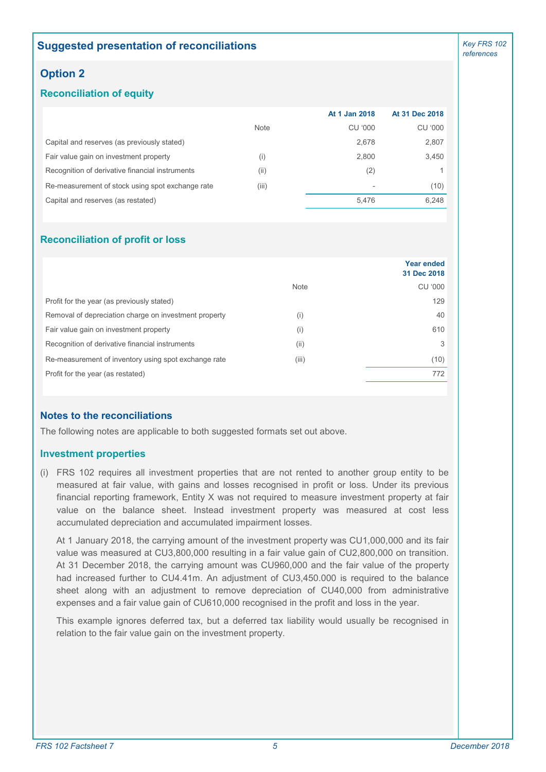## **Suggested presentation of reconciliations**

## **Option 2**

### **Reconciliation of equity**

|                                                  |             | At 1 Jan 2018 | At 31 Dec 2018 |
|--------------------------------------------------|-------------|---------------|----------------|
|                                                  | <b>Note</b> | CU '000       | <b>CU '000</b> |
| Capital and reserves (as previously stated)      |             | 2,678         | 2,807          |
| Fair value gain on investment property           | (i)         | 2.800         | 3,450          |
| Recognition of derivative financial instruments  | (ii)        | (2)           |                |
| Re-measurement of stock using spot exchange rate | (iii)       |               | (10)           |
| Capital and reserves (as restated)               |             | 5.476         | 6,248          |

#### **Reconciliation of profit or loss**

|                                                       |             | <b>Year ended</b><br>31 Dec 2018 |
|-------------------------------------------------------|-------------|----------------------------------|
|                                                       | <b>Note</b> | CU '000                          |
| Profit for the year (as previously stated)            |             | 129                              |
| Removal of depreciation charge on investment property | (i)         | 40                               |
| Fair value gain on investment property                | (i)         | 610                              |
| Recognition of derivative financial instruments       | (ii)        | 3                                |
| Re-measurement of inventory using spot exchange rate  | (iii)       | (10)                             |
| Profit for the year (as restated)                     |             | 772                              |

### **Notes to the reconciliations**

The following notes are applicable to both suggested formats set out above.

#### **Investment properties**

(i) FRS 102 requires all investment properties that are not rented to another group entity to be measured at fair value, with gains and losses recognised in profit or loss. Under its previous financial reporting framework, Entity X was not required to measure investment property at fair value on the balance sheet. Instead investment property was measured at cost less accumulated depreciation and accumulated impairment losses.

At 1 January 2018, the carrying amount of the investment property was CU1,000,000 and its fair value was measured at CU3,800,000 resulting in a fair value gain of CU2,800,000 on transition. At 31 December 2018, the carrying amount was CU960,000 and the fair value of the property had increased further to CU4.41m. An adjustment of CU3.450,000 is required to the balance sheet along with an adjustment to remove depreciation of CU40,000 from administrative expenses and a fair value gain of CU610,000 recognised in the profit and loss in the year.

This example ignores deferred tax, but a deferred tax liability would usually be recognised in relation to the fair value gain on the investment property.

*Key FRS 102 references*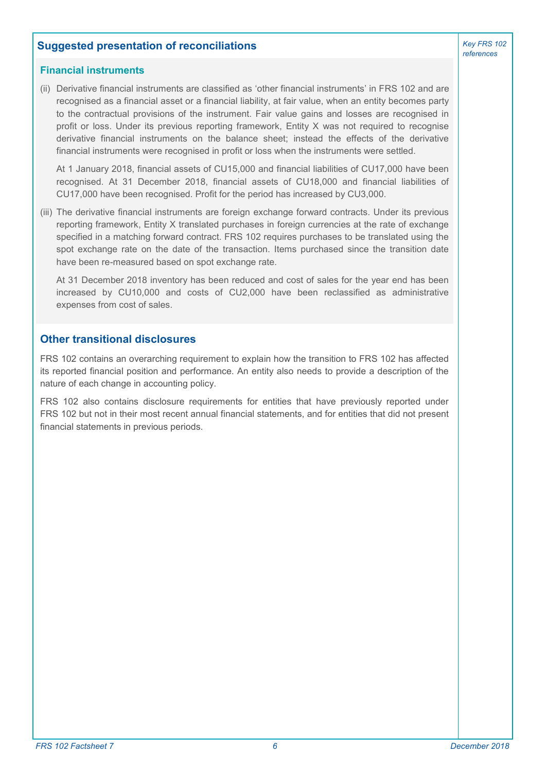### **Suggested presentation of reconciliations**

#### **Financial instruments**

(ii) Derivative financial instruments are classified as 'other financial instruments' in FRS 102 and are recognised as a financial asset or a financial liability, at fair value, when an entity becomes party to the contractual provisions of the instrument. Fair value gains and losses are recognised in profit or loss. Under its previous reporting framework, Entity X was not required to recognise derivative financial instruments on the balance sheet; instead the effects of the derivative financial instruments were recognised in profit or loss when the instruments were settled.

At 1 January 2018, financial assets of CU15,000 and financial liabilities of CU17,000 have been recognised. At 31 December 2018, financial assets of CU18,000 and financial liabilities of CU17,000 have been recognised. Profit for the period has increased by CU3,000.

(iii) The derivative financial instruments are foreign exchange forward contracts. Under its previous reporting framework, Entity X translated purchases in foreign currencies at the rate of exchange specified in a matching forward contract. FRS 102 requires purchases to be translated using the spot exchange rate on the date of the transaction. Items purchased since the transition date have been re-measured based on spot exchange rate.

At 31 December 2018 inventory has been reduced and cost of sales for the year end has been increased by CU10,000 and costs of CU2,000 have been reclassified as administrative expenses from cost of sales.

### **Other transitional disclosures**

FRS 102 contains an overarching requirement to explain how the transition to FRS 102 has affected its reported financial position and performance. An entity also needs to provide a description of the nature of each change in accounting policy.

FRS 102 also contains disclosure requirements for entities that have previously reported under FRS 102 but not in their most recent annual financial statements, and for entities that did not present financial statements in previous periods.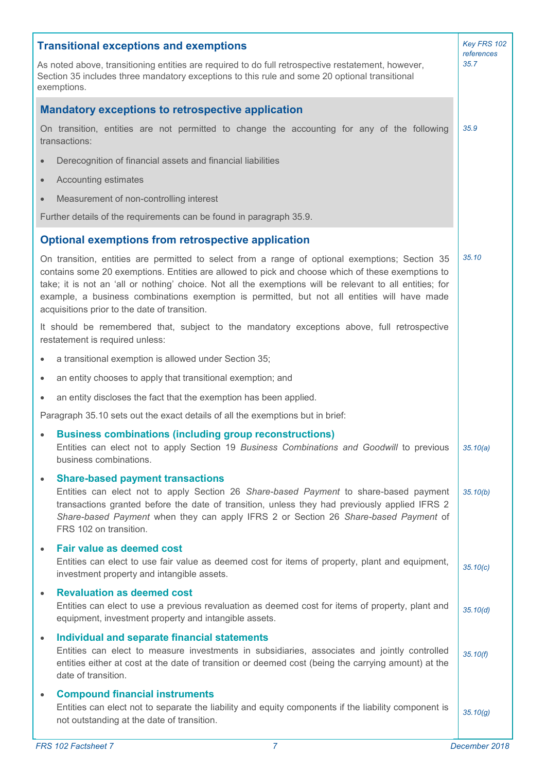|           | <b>Transitional exceptions and exemptions</b>                                                                                                                                                                                                                                                                                                                                                                                                                     | Key FRS 102<br>references |
|-----------|-------------------------------------------------------------------------------------------------------------------------------------------------------------------------------------------------------------------------------------------------------------------------------------------------------------------------------------------------------------------------------------------------------------------------------------------------------------------|---------------------------|
|           | As noted above, transitioning entities are required to do full retrospective restatement, however,<br>Section 35 includes three mandatory exceptions to this rule and some 20 optional transitional<br>exemptions.                                                                                                                                                                                                                                                | 35.7                      |
|           | <b>Mandatory exceptions to retrospective application</b>                                                                                                                                                                                                                                                                                                                                                                                                          |                           |
|           | On transition, entities are not permitted to change the accounting for any of the following<br>transactions:                                                                                                                                                                                                                                                                                                                                                      | 35.9                      |
| $\bullet$ | Derecognition of financial assets and financial liabilities                                                                                                                                                                                                                                                                                                                                                                                                       |                           |
| $\bullet$ | Accounting estimates                                                                                                                                                                                                                                                                                                                                                                                                                                              |                           |
| $\bullet$ | Measurement of non-controlling interest                                                                                                                                                                                                                                                                                                                                                                                                                           |                           |
|           | Further details of the requirements can be found in paragraph 35.9.                                                                                                                                                                                                                                                                                                                                                                                               |                           |
|           | <b>Optional exemptions from retrospective application</b>                                                                                                                                                                                                                                                                                                                                                                                                         |                           |
|           | On transition, entities are permitted to select from a range of optional exemptions; Section 35<br>contains some 20 exemptions. Entities are allowed to pick and choose which of these exemptions to<br>take; it is not an 'all or nothing' choice. Not all the exemptions will be relevant to all entities; for<br>example, a business combinations exemption is permitted, but not all entities will have made<br>acquisitions prior to the date of transition. | 35.10                     |
|           | It should be remembered that, subject to the mandatory exceptions above, full retrospective<br>restatement is required unless:                                                                                                                                                                                                                                                                                                                                    |                           |
|           | a transitional exemption is allowed under Section 35;                                                                                                                                                                                                                                                                                                                                                                                                             |                           |
|           | an entity chooses to apply that transitional exemption; and                                                                                                                                                                                                                                                                                                                                                                                                       |                           |
| $\bullet$ | an entity discloses the fact that the exemption has been applied.                                                                                                                                                                                                                                                                                                                                                                                                 |                           |
|           | Paragraph 35.10 sets out the exact details of all the exemptions but in brief:                                                                                                                                                                                                                                                                                                                                                                                    |                           |
|           | <b>Business combinations (including group reconstructions)</b><br>Entities can elect not to apply Section 19 Business Combinations and Goodwill to previous<br>business combinations.                                                                                                                                                                                                                                                                             | 35.10(a)                  |
| $\bullet$ | <b>Share-based payment transactions</b><br>Entities can elect not to apply Section 26 Share-based Payment to share-based payment<br>transactions granted before the date of transition, unless they had previously applied IFRS 2<br>Share-based Payment when they can apply IFRS 2 or Section 26 Share-based Payment of<br>FRS 102 on transition.                                                                                                                | 35.10(b)                  |
| $\bullet$ | <b>Fair value as deemed cost</b><br>Entities can elect to use fair value as deemed cost for items of property, plant and equipment,<br>investment property and intangible assets.                                                                                                                                                                                                                                                                                 | 35.10(c)                  |
| $\bullet$ | <b>Revaluation as deemed cost</b><br>Entities can elect to use a previous revaluation as deemed cost for items of property, plant and<br>equipment, investment property and intangible assets.                                                                                                                                                                                                                                                                    | 35.10(d)                  |
| $\bullet$ | Individual and separate financial statements<br>Entities can elect to measure investments in subsidiaries, associates and jointly controlled<br>entities either at cost at the date of transition or deemed cost (being the carrying amount) at the<br>date of transition.                                                                                                                                                                                        | 35.10(f)                  |
| $\bullet$ | <b>Compound financial instruments</b><br>Entities can elect not to separate the liability and equity components if the liability component is<br>not outstanding at the date of transition.                                                                                                                                                                                                                                                                       | 35.10(g)                  |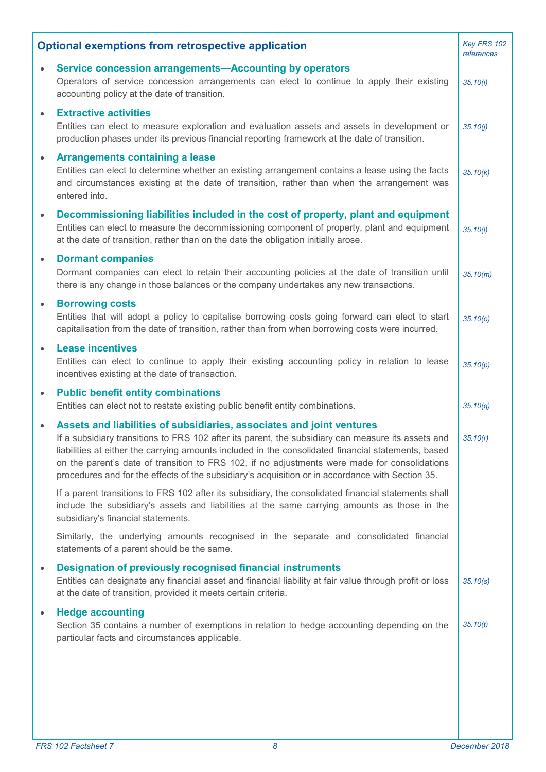| <b>Optional exemptions from retrospective application</b> |                                                                                                                                                                                                                                                                                                                                                                                                                                                                                         |          |
|-----------------------------------------------------------|-----------------------------------------------------------------------------------------------------------------------------------------------------------------------------------------------------------------------------------------------------------------------------------------------------------------------------------------------------------------------------------------------------------------------------------------------------------------------------------------|----------|
| $\bullet$                                                 | Service concession arrangements-Accounting by operators<br>Operators of service concession arrangements can elect to continue to apply their existing<br>accounting policy at the date of transition.                                                                                                                                                                                                                                                                                   | 35.10(i) |
| $\bullet$                                                 | <b>Extractive activities</b><br>Entities can elect to measure exploration and evaluation assets and assets in development or<br>production phases under its previous financial reporting framework at the date of transition.                                                                                                                                                                                                                                                           | 35.10(j) |
| $\bullet$                                                 | <b>Arrangements containing a lease</b><br>Entities can elect to determine whether an existing arrangement contains a lease using the facts<br>and circumstances existing at the date of transition, rather than when the arrangement was<br>entered into.                                                                                                                                                                                                                               | 35.10(k) |
| $\bullet$                                                 | Decommissioning liabilities included in the cost of property, plant and equipment<br>Entities can elect to measure the decommissioning component of property, plant and equipment<br>at the date of transition, rather than on the date the obligation initially arose.                                                                                                                                                                                                                 | 35.10(l) |
| $\bullet$                                                 | <b>Dormant companies</b><br>Dormant companies can elect to retain their accounting policies at the date of transition until<br>there is any change in those balances or the company undertakes any new transactions.                                                                                                                                                                                                                                                                    | 35.10(m) |
| $\bullet$                                                 | <b>Borrowing costs</b><br>Entities that will adopt a policy to capitalise borrowing costs going forward can elect to start<br>capitalisation from the date of transition, rather than from when borrowing costs were incurred.                                                                                                                                                                                                                                                          | 35.10(0) |
| $\bullet$                                                 | <b>Lease incentives</b><br>Entities can elect to continue to apply their existing accounting policy in relation to lease<br>incentives existing at the date of transaction.                                                                                                                                                                                                                                                                                                             | 35.10(p) |
| $\bullet$                                                 | <b>Public benefit entity combinations</b><br>Entities can elect not to restate existing public benefit entity combinations.                                                                                                                                                                                                                                                                                                                                                             | 35.10(q) |
|                                                           | Assets and liabilities of subsidiaries, associates and joint ventures<br>If a subsidiary transitions to FRS 102 after its parent, the subsidiary can measure its assets and<br>liabilities at either the carrying amounts included in the consolidated financial statements, based<br>on the parent's date of transition to FRS 102, if no adjustments were made for consolidations<br>procedures and for the effects of the subsidiary's acquisition or in accordance with Section 35. | 35.10(r) |
|                                                           | If a parent transitions to FRS 102 after its subsidiary, the consolidated financial statements shall<br>include the subsidiary's assets and liabilities at the same carrying amounts as those in the<br>subsidiary's financial statements.                                                                                                                                                                                                                                              |          |
|                                                           | Similarly, the underlying amounts recognised in the separate and consolidated financial<br>statements of a parent should be the same.                                                                                                                                                                                                                                                                                                                                                   |          |
| $\bullet$                                                 | <b>Designation of previously recognised financial instruments</b><br>Entities can designate any financial asset and financial liability at fair value through profit or loss<br>at the date of transition, provided it meets certain criteria.                                                                                                                                                                                                                                          | 35.10(s) |
| $\bullet$                                                 | <b>Hedge accounting</b><br>Section 35 contains a number of exemptions in relation to hedge accounting depending on the<br>particular facts and circumstances applicable.                                                                                                                                                                                                                                                                                                                | 35.10(t) |
|                                                           |                                                                                                                                                                                                                                                                                                                                                                                                                                                                                         |          |
|                                                           |                                                                                                                                                                                                                                                                                                                                                                                                                                                                                         |          |
|                                                           |                                                                                                                                                                                                                                                                                                                                                                                                                                                                                         |          |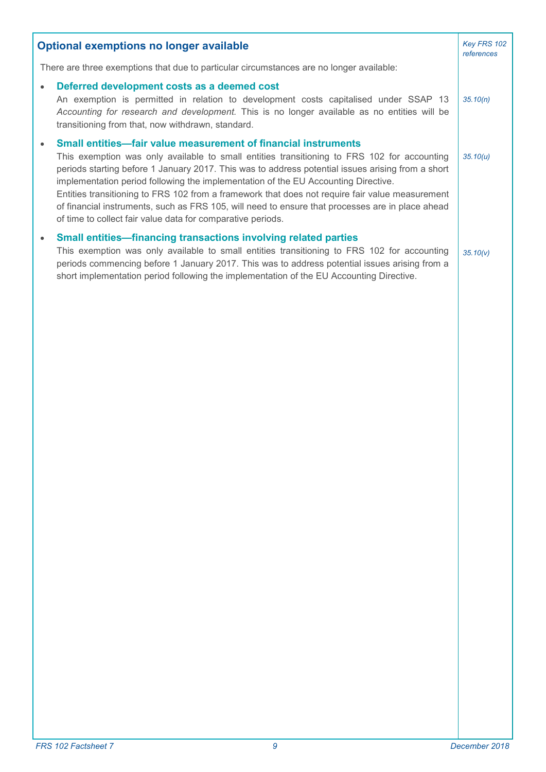| <b>Optional exemptions no longer available</b>                                           |                                                                                                                                                                                                                                                                                                                                                                                                                                                                                                                                                                                                                                |          |  |  |
|------------------------------------------------------------------------------------------|--------------------------------------------------------------------------------------------------------------------------------------------------------------------------------------------------------------------------------------------------------------------------------------------------------------------------------------------------------------------------------------------------------------------------------------------------------------------------------------------------------------------------------------------------------------------------------------------------------------------------------|----------|--|--|
| There are three exemptions that due to particular circumstances are no longer available: |                                                                                                                                                                                                                                                                                                                                                                                                                                                                                                                                                                                                                                |          |  |  |
|                                                                                          | Deferred development costs as a deemed cost<br>An exemption is permitted in relation to development costs capitalised under SSAP 13<br>Accounting for research and development. This is no longer available as no entities will be<br>transitioning from that, now withdrawn, standard.                                                                                                                                                                                                                                                                                                                                        | 35.10(n) |  |  |
|                                                                                          | Small entities-fair value measurement of financial instruments<br>This exemption was only available to small entities transitioning to FRS 102 for accounting<br>periods starting before 1 January 2017. This was to address potential issues arising from a short<br>implementation period following the implementation of the EU Accounting Directive.<br>Entities transitioning to FRS 102 from a framework that does not require fair value measurement<br>of financial instruments, such as FRS 105, will need to ensure that processes are in place ahead<br>of time to collect fair value data for comparative periods. | 35.10(u) |  |  |
| $\bullet$                                                                                | <b>Small entities-financing transactions involving related parties</b><br>This exemption was only available to small entities transitioning to FRS 102 for accounting<br>periods commencing before 1 January 2017. This was to address potential issues arising from a<br>short implementation period following the implementation of the EU Accounting Directive.                                                                                                                                                                                                                                                             | 35.10(v) |  |  |
|                                                                                          |                                                                                                                                                                                                                                                                                                                                                                                                                                                                                                                                                                                                                                |          |  |  |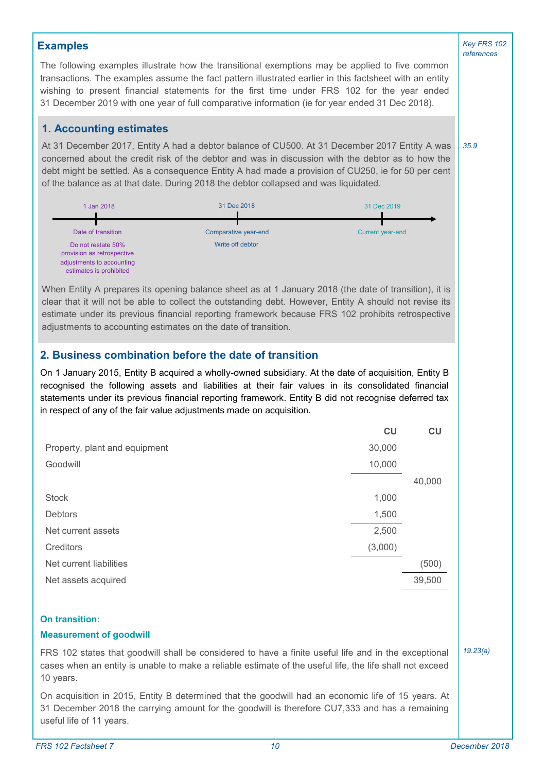### **Examples**

The following examples illustrate how the transitional exemptions may be applied to five common transactions. The examples assume the fact pattern illustrated earlier in this factsheet with an entity wishing to present financial statements for the first time under FRS 102 for the year ended 31 December 2019 with one year of full comparative information (ie for year ended 31 Dec 2018).

### **1. Accounting estimates**

At 31 December 2017, Entity A had a debtor balance of CU500. At 31 December 2017 Entity A was concerned about the credit risk of the debtor and was in discussion with the debtor as to how the debt might be settled. As a consequence Entity A had made a provision of CU250, ie for 50 per cent of the balance as at that date. During 2018 the debtor collapsed and was liquidated.



When Entity A prepares its opening balance sheet as at 1 January 2018 (the date of transition), it is clear that it will not be able to collect the outstanding debt. However, Entity A should not revise its estimate under its previous financial reporting framework because FRS 102 prohibits retrospective adjustments to accounting estimates on the date of transition.

## **2. Business combination before the date of transition**

On 1 January 2015, Entity B acquired a wholly-owned subsidiary. At the date of acquisition, Entity B recognised the following assets and liabilities at their fair values in its consolidated financial statements under its previous financial reporting framework. Entity B did not recognise deferred tax in respect of any of the fair value adjustments made on acquisition.

|                               | CU      | CU     |
|-------------------------------|---------|--------|
| Property, plant and equipment | 30,000  |        |
| Goodwill                      | 10,000  |        |
|                               |         | 40,000 |
| <b>Stock</b>                  | 1,000   |        |
| <b>Debtors</b>                | 1,500   |        |
| Net current assets            | 2,500   |        |
| Creditors                     | (3,000) |        |
| Net current liabilities       |         | (500)  |
| Net assets acquired           |         | 39,500 |
|                               |         |        |

#### **On transition:**

#### **Measurement of goodwill**

*19.23(a)* FRS 102 states that goodwill shall be considered to have a finite useful life and in the exceptional cases when an entity is unable to make a reliable estimate of the useful life, the life shall not exceed 10 years.

On acquisition in 2015, Entity B determined that the goodwill had an economic life of 15 years. At 31 December 2018 the carrying amount for the goodwill is therefore CU7,333 and has a remaining useful life of 11 years.

*Key FRS 102 references*

*35.9*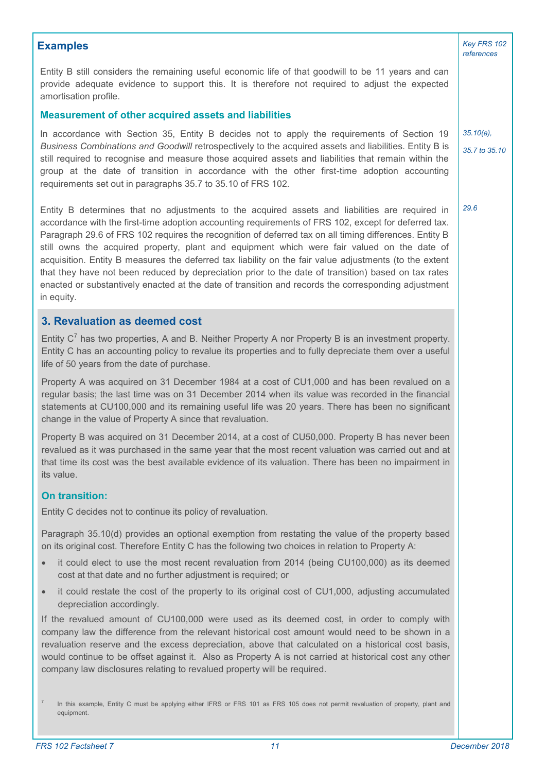### **Examples** *Key FRS 102*

Entity B still considers the remaining useful economic life of that goodwill to be 11 years and can provide adequate evidence to support this. It is therefore not required to adjust the expected amortisation profile.

#### **Measurement of other acquired assets and liabilities**

In accordance with Section 35, Entity B decides not to apply the requirements of Section 19 *Business Combinations and Goodwill* retrospectively to the acquired assets and liabilities. Entity B is still required to recognise and measure those acquired assets and liabilities that remain within the group at the date of transition in accordance with the other first-time adoption accounting requirements set out in paragraphs 35.7 to 35.10 of FRS 102.

Entity B determines that no adjustments to the acquired assets and liabilities are required in accordance with the first-time adoption accounting requirements of FRS 102, except for deferred tax. Paragraph 29.6 of FRS 102 requires the recognition of deferred tax on all timing differences. Entity B still owns the acquired property, plant and equipment which were fair valued on the date of acquisition. Entity B measures the deferred tax liability on the fair value adjustments (to the extent that they have not been reduced by depreciation prior to the date of transition) based on tax rates enacted or substantively enacted at the date of transition and records the corresponding adjustment in equity.

### **3. Revaluation as deemed cost**

Entity  $C^7$  has two properties, A and B. Neither Property A nor Property B is an investment property. Entity C has an accounting policy to revalue its properties and to fully depreciate them over a useful life of 50 years from the date of purchase.

Property A was acquired on 31 December 1984 at a cost of CU1,000 and has been revalued on a regular basis; the last time was on 31 December 2014 when its value was recorded in the financial statements at CU100,000 and its remaining useful life was 20 years. There has been no significant change in the value of Property A since that revaluation.

Property B was acquired on 31 December 2014, at a cost of CU50,000. Property B has never been revalued as it was purchased in the same year that the most recent valuation was carried out and at that time its cost was the best available evidence of its valuation. There has been no impairment in its value.

#### **On transition:**

Entity C decides not to continue its policy of revaluation.

Paragraph 35.10(d) provides an optional exemption from restating the value of the property based on its original cost. Therefore Entity C has the following two choices in relation to Property A:

- it could elect to use the most recent revaluation from 2014 (being CU100,000) as its deemed cost at that date and no further adjustment is required; or
- it could restate the cost of the property to its original cost of CU1,000, adjusting accumulated depreciation accordingly.

If the revalued amount of CU100,000 were used as its deemed cost, in order to comply with company law the difference from the relevant historical cost amount would need to be shown in a revaluation reserve and the excess depreciation, above that calculated on a historical cost basis, would continue to be offset against it. Also as Property A is not carried at historical cost any other company law disclosures relating to revalued property will be required.

*references*

*29.6*

*35.10(a), 35.7 to 35.10*

<sup>7</sup> In this example, Entity C must be applying either IFRS or FRS 101 as FRS 105 does not permit revaluation of property, plant and equipment.